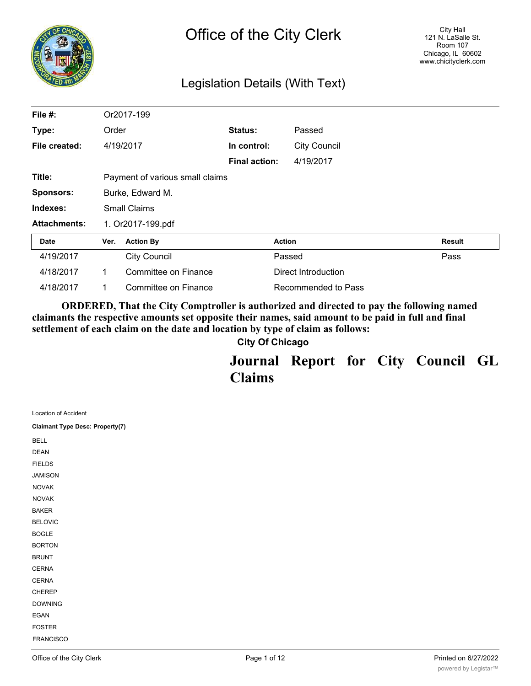

# Legislation Details (With Text)

| File #:                         |                                 | Or2017-199           |                      |               |                     |               |
|---------------------------------|---------------------------------|----------------------|----------------------|---------------|---------------------|---------------|
| Type:                           | Order                           |                      | Status:              |               | Passed              |               |
| File created:                   | 4/19/2017                       |                      | In control:          |               | <b>City Council</b> |               |
|                                 |                                 |                      | <b>Final action:</b> |               | 4/19/2017           |               |
| Title:                          | Payment of various small claims |                      |                      |               |                     |               |
| <b>Sponsors:</b>                | Burke, Edward M.                |                      |                      |               |                     |               |
| Indexes:<br><b>Small Claims</b> |                                 |                      |                      |               |                     |               |
| <b>Attachments:</b>             |                                 | 1. Or2017-199.pdf    |                      |               |                     |               |
| Date                            | Ver.                            | <b>Action By</b>     |                      | <b>Action</b> |                     | <b>Result</b> |
| 4/19/2017                       |                                 | <b>City Council</b>  |                      | Passed        |                     | Pass          |
| 4/18/2017                       | 1                               | Committee on Finance |                      |               | Direct Introduction |               |
| 4/18/2017                       | 1.                              | Committee on Finance |                      |               | Recommended to Pass |               |

**ORDERED, That the City Comptroller is authorized and directed to pay the following named claimants the respective amounts set opposite their names, said amount to be paid in full and final settlement of each claim on the date and location by type of claim as follows:**

**City Of Chicago**

**Journal Report for City Council GL Claims**

| Location of Accident                   |  |
|----------------------------------------|--|
| <b>Claimant Type Desc: Property(7)</b> |  |
| <b>BELL</b>                            |  |
| <b>DEAN</b>                            |  |
| <b>FIELDS</b>                          |  |
| <b>JAMISON</b>                         |  |
| <b>NOVAK</b>                           |  |
| <b>NOVAK</b>                           |  |
| <b>BAKER</b>                           |  |
| <b>BELOVIC</b>                         |  |
| <b>BOGLE</b>                           |  |
| <b>BORTON</b>                          |  |
| <b>BRUNT</b>                           |  |
| CERNA                                  |  |
| CERNA                                  |  |
| CHEREP                                 |  |
| <b>DOWNING</b>                         |  |
| EGAN                                   |  |
| <b>FOSTER</b>                          |  |
| FRANCISCO                              |  |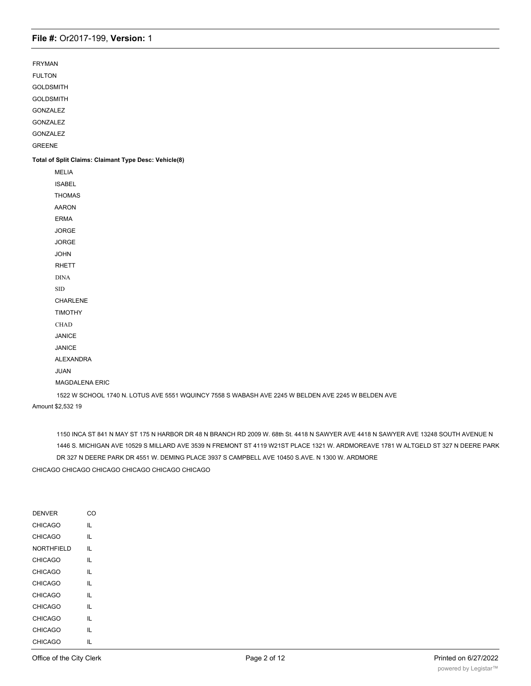FRYMAN

FULTON

GOLDSMITH

GOLDSMITH

GONZALEZ

GONZALEZ

GONZALEZ

GREENE

#### **Total of Split Claims: Claimant Type Desc: Vehicle(8)**

MELIA ISABEL THOMAS AARON ERMA JORGE JORGE JOHN RHETT DINA SID CHARLENE TIMOTHY CHAD JANICE JANICE ALEXANDRA JUAN MAGDALENA ERIC 1522 W SCHOOL 1740 N. LOTUS AVE 5551 WQUINCY 7558 S WABASH AVE 2245 W BELDEN AVE 2245 W BELDEN AVE

Amount \$2,532 19

1150 INCA ST 841 N MAY ST 175 N HARBOR DR 48 N BRANCH RD 2009 W. 68th St. 4418 N SAWYER AVE 4418 N SAWYER AVE 13248 SOUTH AVENUE N 1446 S. MICHIGAN AVE 10529 S MILLARD AVE 3539 N FREMONT ST 4119 W21ST PLACE 1321 W. ARDMOREAVE 1781 W ALTGELD ST 327 N DEERE PARK DR 327 N DEERE PARK DR 4551 W. DEMING PLACE 3937 S CAMPBELL AVE 10450 S.AVE. N 1300 W. ARDMORE

CHICAGO CHICAGO CHICAGO CHICAGO CHICAGO CHICAGO

| <b>DENVER</b> | ററ |
|---------------|----|
| CHICAGO       | П. |
| CHICAGO       | IL |
| NORTHFIELD    | IL |
| CHICAGO       | IL |
| CHICAGO       | IL |
| CHICAGO       | П. |
| CHICAGO       | П. |
| CHICAGO       | П. |
| CHICAGO       | П. |
| CHICAGO       | IL |
| CHICAGO       | н. |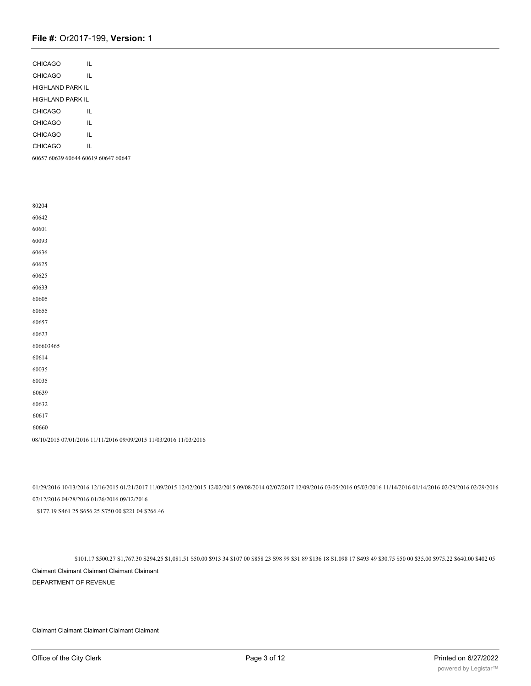| CHICAGO          | $\mathsf{IL}$                                                     |  |
|------------------|-------------------------------------------------------------------|--|
| CHICAGO          | $\mathsf{IL}$                                                     |  |
| HIGHLAND PARK IL |                                                                   |  |
| HIGHLAND PARK IL |                                                                   |  |
| CHICAGO          | IL                                                                |  |
| CHICAGO          | IL                                                                |  |
| CHICAGO          | $\mathsf{IL}$                                                     |  |
| CHICAGO          | IL                                                                |  |
|                  | 60657 60639 60644 60619 60647 60647                               |  |
|                  |                                                                   |  |
|                  |                                                                   |  |
|                  |                                                                   |  |
| 80204            |                                                                   |  |
| 60642            |                                                                   |  |
| 60601            |                                                                   |  |
| 60093            |                                                                   |  |
| 60636            |                                                                   |  |
| 60625            |                                                                   |  |
| 60625            |                                                                   |  |
| 60633            |                                                                   |  |
| 60605            |                                                                   |  |
| 60655            |                                                                   |  |
| 60657            |                                                                   |  |
| 60623            |                                                                   |  |
| 606603465        |                                                                   |  |
| 60614            |                                                                   |  |
| 60035            |                                                                   |  |
| 60035            |                                                                   |  |
| 60639            |                                                                   |  |
| 60632            |                                                                   |  |
| 60617            |                                                                   |  |
| 60660            |                                                                   |  |
|                  | 08/10/2015 07/01/2016 11/11/2016 09/09/2015 11/03/2016 11/03/2016 |  |
|                  |                                                                   |  |

01/29/2016 10/13/2016 12/16/2015 01/21/2017 11/09/2015 12/02/2015 12/02/2015 09/08/2014 02/07/2017 12/09/2016 03/05/2016 05/03/2016 11/14/2016 01/14/2016 02/29/2016 02/29/2016 07/12/2016 04/28/2016 01/26/2016 09/12/2016 \$177.19 S461 25 S656 25 S750 00 \$221 04 \$266.46

\$101.17 \$500.27 S1,767.30 S294.25 \$1,081.51 \$50.00 \$913 34 \$107 00 \$858 23 S98 99 \$31 89 \$136 18 S1.098 17 S493 49 \$30.75 \$50 00 \$35.00 \$975.22 \$640.00 \$402 05 Claimant Claimant Claimant Claimant Claimant DEPARTMENT OF REVENUE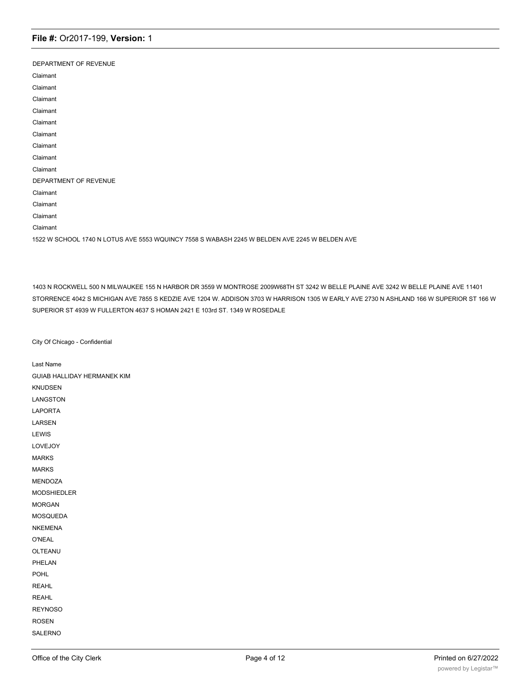| DEPARTMENT OF REVENUE                                                                         |
|-----------------------------------------------------------------------------------------------|
| Claimant                                                                                      |
| Claimant                                                                                      |
| Claimant                                                                                      |
| Claimant                                                                                      |
| Claimant                                                                                      |
| Claimant                                                                                      |
| Claimant                                                                                      |
| Claimant                                                                                      |
| Claimant                                                                                      |
| DEPARTMENT OF REVENUE                                                                         |
| Claimant                                                                                      |
| Claimant                                                                                      |
| Claimant                                                                                      |
| Claimant                                                                                      |
| 1522 W SCHOOL 1740 N LOTUS AVE 5553 WQUINCY 7558 S WABASH 2245 W BELDEN AVE 2245 W BELDEN AVE |

1403 N ROCKWELL 500 N MILWAUKEE 155 N HARBOR DR 3559 W MONTROSE 2009W68TH ST 3242 W BELLE PLAINE AVE 3242 W BELLE PLAINE AVE 11401 STORRENCE 4042 S MICHIGAN AVE 7855 S KEDZIE AVE 1204 W. ADDISON 3703 W HARRISON 1305 W EARLY AVE 2730 N ASHLAND 166 W SUPERIOR ST 166 W SUPERIOR ST 4939 W FULLERTON 4637 S HOMAN 2421 E 103rd ST. 1349 W ROSEDALE

City Of Chicago - Confidential

Last Name GUIAB HALLIDAY HERMANEK KIM KNUDSEN LANGSTON LAPORTA LARSEN LEWIS LOVEJOY MARKS MARKS MENDOZA MODSHIEDLER MORGAN MOSQUEDA NKEMENA O'NEAL OLTEANU PHELAN POHL REAHL REAHL REYNOSO ROSEN SALERNO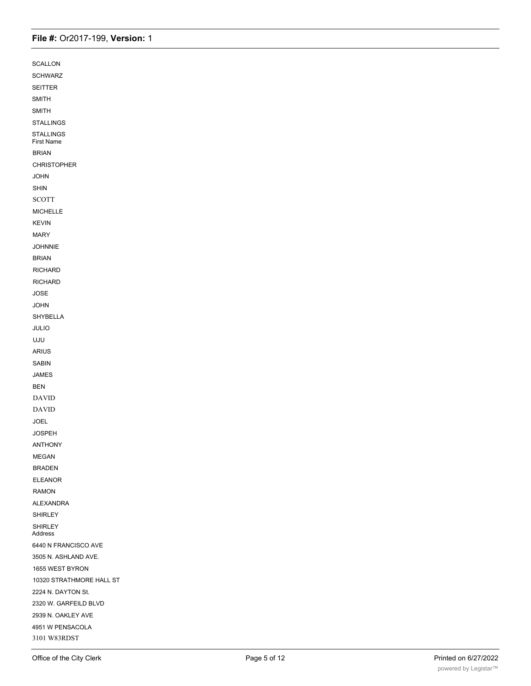| SCALLON                   |  |
|---------------------------|--|
| <b>SCHWARZ</b>            |  |
| SEITTER                   |  |
| SMITH                     |  |
| SMITH                     |  |
| <b>STALLINGS</b>          |  |
| STALLINGS<br>First Name   |  |
| <b>BRIAN</b>              |  |
| <b>CHRISTOPHER</b>        |  |
| <b>JOHN</b>               |  |
| SHIN                      |  |
| <b>SCOTT</b>              |  |
| MICHELLE                  |  |
| KEVIN                     |  |
| MARY                      |  |
| <b>JOHNNIE</b>            |  |
| <b>BRIAN</b>              |  |
| RICHARD                   |  |
| RICHARD                   |  |
| JOSE                      |  |
| <b>JOHN</b>               |  |
| SHYBELLA                  |  |
| JULIO                     |  |
| UJU                       |  |
| ARIUS                     |  |
| SABIN                     |  |
| <b>JAMES</b>              |  |
| <b>BEN</b>                |  |
| <b>DAVID</b>              |  |
| <b>DAVID</b>              |  |
| JOEL                      |  |
| <b>JOSPEH</b>             |  |
| ANTHONY                   |  |
| MEGAN                     |  |
| <b>BRADEN</b>             |  |
| <b>ELEANOR</b>            |  |
| RAMON                     |  |
| <b>ALEXANDRA</b>          |  |
| <b>SHIRLEY</b>            |  |
| <b>SHIRLEY</b><br>Address |  |
| 6440 N FRANCISCO AVE      |  |
| 3505 N. ASHLAND AVE.      |  |
| 1655 WEST BYRON           |  |
| 10320 STRATHMORE HALL ST  |  |
| 2224 N. DAYTON St.        |  |
| 2320 W. GARFEILD BLVD     |  |
| 2939 N. OAKLEY AVE        |  |
| 4951 W PENSACOLA          |  |
| 3101 W83RDST              |  |

2156 W 115th St 115th St 115th St 115th St 115th St 115th St 115th St 115th St 115th St 115th St 115th St 115<br>215th St 115th St 115th St 115th St 115th St 115th St 115th St 115th St 115th St 115th St 115th St 115th St 11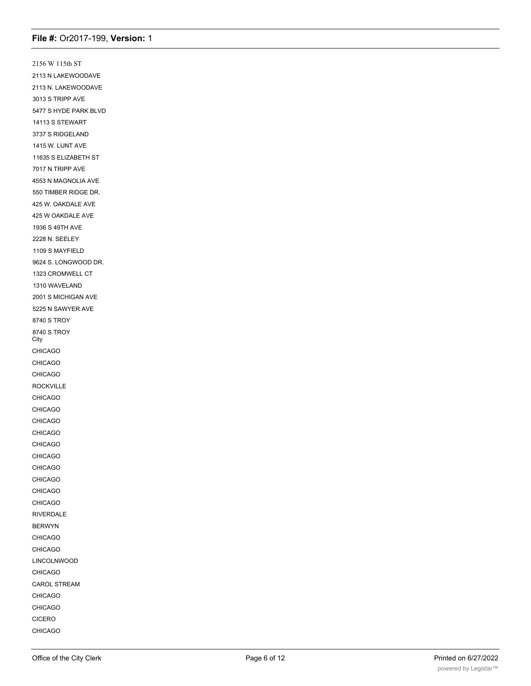2156 W 115th ST 2113 N LAKEWOODAVE 2113 N. LAKEWOODAVE 3013 S TRIPP AVE 5477 S HYDE PARK BLVD 14113 S STEWART 3737 S RIDGELAND 1415 W. LUNT AVE 11635 S ELIZABETH ST 7017 N TRIPP AVE 4553 N MAGNOLIA AVE 550 TIMBER RIDGE DR. 425 W. OAKDALE AVE 425 W OAKDALE AVE 1936 S 49TH AVE 2228 N. SEELEY 1109 S MAYFIELD 9624 S. LONGWOOD DR. 1323 CROMWELL CT 1310 WAVELAND 2001 S MICHIGAN AVE 5225 N SAWYER AVE 8740 S TROY 8740 S TROY City CHICAGO CHICAGO CHICAGO ROCKVILLE CHICAGO CHICAGO CHICAGO CHICAGO CHICAGO CHICAGO CHICAGO CHICAGO CHICAGO CHICAGO RIVERDALE BERWYN CHICAGO CHICAGO LINCOLNWOOD CHICAGO CAROL STREAM CHICAGO CHICAGO CICERO CHICAGO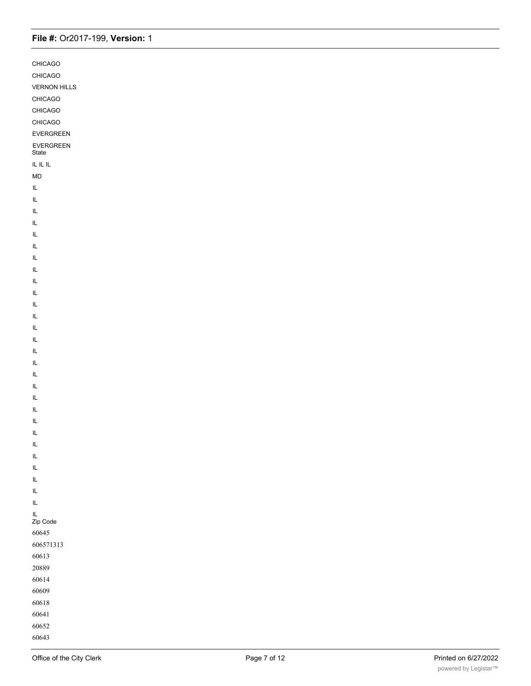| CHICAGO                                       |  |
|-----------------------------------------------|--|
| CHICAGO                                       |  |
| <b>VERNON HILLS</b>                           |  |
| CHICAGO                                       |  |
| CHICAGO                                       |  |
| CHICAGO                                       |  |
| EVERGREEN                                     |  |
| EVERGREEN<br>State                            |  |
| IL IL IL                                      |  |
| <b>MD</b>                                     |  |
| IL                                            |  |
| IL                                            |  |
| IL                                            |  |
| IL                                            |  |
| IL                                            |  |
| IL                                            |  |
| IL                                            |  |
| IL                                            |  |
| IL                                            |  |
| IL                                            |  |
| IL                                            |  |
| IL                                            |  |
| IL                                            |  |
| IL                                            |  |
| $\mathsf{IL}$                                 |  |
| IL                                            |  |
| IL                                            |  |
| IL                                            |  |
| IL                                            |  |
| IL                                            |  |
| IL                                            |  |
| $\mathsf{IL}$                                 |  |
| $\mathsf{IL}$                                 |  |
| $\mathsf{IL}$                                 |  |
| $\mathsf{IL}$                                 |  |
| $\mathsf{IL}$                                 |  |
| $\mathsf{IL}$                                 |  |
| $\ensuremath{\mathsf{IL}}\xspace$             |  |
| $\ensuremath{\mathsf{IL}}\xspace$<br>Zip Code |  |
| 60645                                         |  |
| 606571313                                     |  |
| 60613                                         |  |
| 20889                                         |  |
| 60614                                         |  |
| 60609                                         |  |
| 60618                                         |  |
| 60641                                         |  |
| 60652                                         |  |
| 60643                                         |  |

60614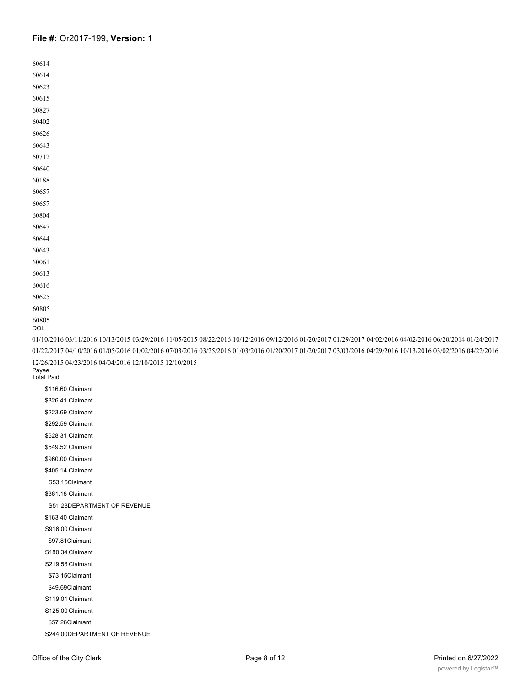| 60614        |                                                                                                                                                           |
|--------------|-----------------------------------------------------------------------------------------------------------------------------------------------------------|
| 60614        |                                                                                                                                                           |
| 60623        |                                                                                                                                                           |
| 60615        |                                                                                                                                                           |
| 60827        |                                                                                                                                                           |
| 60402        |                                                                                                                                                           |
| 60626        |                                                                                                                                                           |
| 60643        |                                                                                                                                                           |
| 60712        |                                                                                                                                                           |
| 60640        |                                                                                                                                                           |
| 60188        |                                                                                                                                                           |
| 60657        |                                                                                                                                                           |
| 60657        |                                                                                                                                                           |
| 60804        |                                                                                                                                                           |
| 60647        |                                                                                                                                                           |
| 60644        |                                                                                                                                                           |
| 60643        |                                                                                                                                                           |
| 60061        |                                                                                                                                                           |
| 60613        |                                                                                                                                                           |
| 60616        |                                                                                                                                                           |
| 60625        |                                                                                                                                                           |
| 60805        |                                                                                                                                                           |
| 60805<br>DOL |                                                                                                                                                           |
|              | 01/10/2016 03/11/2016 10/13/2015 03/29/2016 11/05/2015 08/22/2016 10/12/2016 09/12/2016 01/20/2017 01/29/2017 04/02/2016 04/02/2016 06/20/2014 01/24/2017 |
|              | 01/22/2017 04/10/2016 01/05/2016 01/02/2016 07/03/2016 03/25/2016 01/03/2016 01/20/2017 01/20/2017 03/03/2016 04/29/2016 10/13/2016 03/02/2016 04/22/2016 |
|              | 12/26/2015 04/23/2016 04/04/2016 12/10/2015 12/10/2015                                                                                                    |
| Payee        | <b>Total Paid</b>                                                                                                                                         |
|              | \$116.60 Claimant                                                                                                                                         |
|              |                                                                                                                                                           |
|              | \$326 41 Claimant                                                                                                                                         |
|              | \$223.69 Claimant                                                                                                                                         |
|              | \$292.59 Claimant                                                                                                                                         |
|              | \$628 31 Claimant                                                                                                                                         |
|              | \$549.52 Claimant                                                                                                                                         |
|              | \$960.00 Claimant                                                                                                                                         |
|              | \$405.14 Claimant                                                                                                                                         |
|              | S53.15Claimant                                                                                                                                            |
|              |                                                                                                                                                           |
|              | \$381.18 Claimant                                                                                                                                         |
|              | S51 28DEPARTMENT OF REVENUE                                                                                                                               |
|              | \$163 40 Claimant                                                                                                                                         |
|              | S916.00 Claimant                                                                                                                                          |
|              | \$97.81Claimant                                                                                                                                           |
|              | S180 34 Claimant                                                                                                                                          |
|              | S219.58 Claimant                                                                                                                                          |
|              | \$73 15Claimant                                                                                                                                           |
|              | \$49.69Claimant                                                                                                                                           |
|              | S119 01 Claimant                                                                                                                                          |
|              | S125 00 Claimant                                                                                                                                          |
|              | \$57 26Claimant                                                                                                                                           |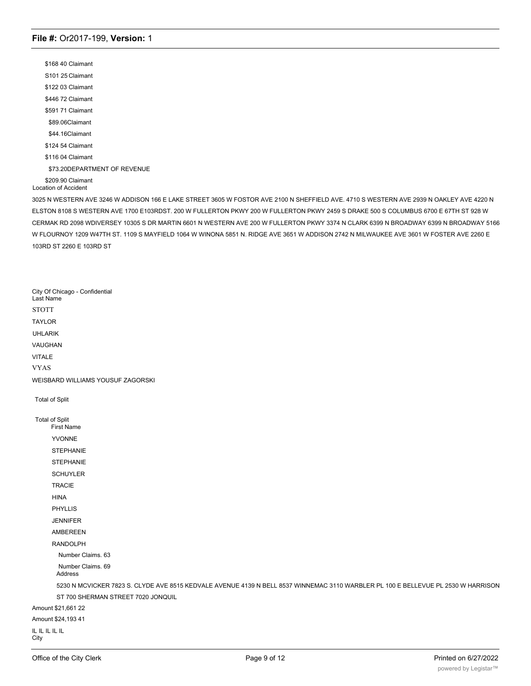\$168 40 Claimant S101 25 Claimant \$122 03 Claimant \$446 72 Claimant \$591 71 Claimant \$89.06Claimant \$44.16Claimant \$124 54 Claimant \$116 04 Claimant \$73.20DEPARTMENT OF REVENUE \$209.90 Claimant Location of Accident

3025 N WESTERN AVE 3246 W ADDISON 166 E LAKE STREET 3605 W FOSTOR AVE 2100 N SHEFFIELD AVE. 4710 S WESTERN AVE 2939 N OAKLEY AVE 4220 N ELSTON 8108 S WESTERN AVE 1700 E103RDST. 200 W FULLERTON PKWY 200 W FULLERTON PKWY 2459 S DRAKE 500 S COLUMBUS 6700 E 67TH ST 928 W CERMAK RD 2098 WDIVERSEY 10305 S DR MARTIN 6601 N WESTERN AVE 200 W FULLERTON PKWY 3374 N CLARK 6399 N BROADWAY 6399 N BROADWAY 5166 W FLOURNOY 1209 W47TH ST. 1109 S MAYFIELD 1064 W WINONA 5851 N. RIDGE AVE 3651 W ADDISON 2742 N MILWAUKEE AVE 3601 W FOSTER AVE 2260 E 103RD ST 2260 E 103RD ST

City Of Chicago - Confidential Last Name STOTT TAYLOR UHLARIK VAUGHAN VITALE VYAS WEISBARD WILLIAMS YOUSUF ZAGORSKI Total of Split Total of Split First Name YVONNE STEPHANIE STEPHANIE **SCHUYLER** TRACIE HINA PHYLLIS JENNIFER AMBEREEN RANDOLPH Number Claims. 63 Number Claims. 69 Address 5230 N MCVICKER 7823 S. CLYDE AVE 8515 KEDVALE AVENUE 4139 N BELL 8537 WINNEMAC 3110 WARBLER PL 100 E BELLEVUE PL 2530 W HARRISON ST 700 SHERMAN STREET 7020 JONQUIL Amount \$21,661 22 Amount \$24,193 41 IL IL IL IL IL **City** 

CHICAGO CHICAGO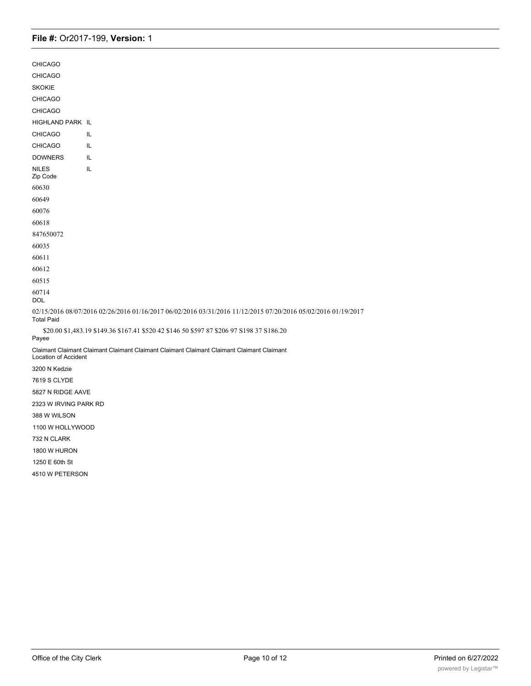| <b>CHICAGO</b>              |                                                                                                               |
|-----------------------------|---------------------------------------------------------------------------------------------------------------|
| <b>CHICAGO</b>              |                                                                                                               |
| <b>SKOKIE</b>               |                                                                                                               |
| <b>CHICAGO</b>              |                                                                                                               |
| <b>CHICAGO</b>              |                                                                                                               |
| HIGHLAND PARK IL            |                                                                                                               |
| <b>CHICAGO</b>              | IL                                                                                                            |
| <b>CHICAGO</b>              | IL                                                                                                            |
| <b>DOWNERS</b>              | IL                                                                                                            |
| <b>NILES</b><br>Zip Code    | IL                                                                                                            |
| 60630                       |                                                                                                               |
| 60649                       |                                                                                                               |
| 60076                       |                                                                                                               |
| 60618                       |                                                                                                               |
| 847650072                   |                                                                                                               |
| 60035                       |                                                                                                               |
| 60611                       |                                                                                                               |
| 60612                       |                                                                                                               |
| 60515                       |                                                                                                               |
| 60714<br><b>DOL</b>         |                                                                                                               |
| <b>Total Paid</b>           | 02/15/2016 08/07/2016 02/26/2016 01/16/2017 06/02/2016 03/31/2016 11/12/2015 07/20/2016 05/02/2016 01/19/2017 |
| Payee                       | \$20.00 \$1,483.19 \$149.36 \$167.41 \$520 42 \$146 50 \$597 87 \$206 97 \$198 37 \$186.20                    |
| <b>Location of Accident</b> | Claimant Claimant Claimant Claimant Claimant Claimant Claimant Claimant Claimant Claimant                     |
| 3200 N Kedzie               |                                                                                                               |
| 7619 S CLYDE                |                                                                                                               |
| 5827 N RIDGE AAVE           |                                                                                                               |
| 2323 W IRVING PARK RD       |                                                                                                               |
| 388 W WILSON                |                                                                                                               |
| 1100 W HOLLYWOOD            |                                                                                                               |
| 732 N CLARK                 |                                                                                                               |
| 1800 W HURON                |                                                                                                               |
| 1250 E 60th St              |                                                                                                               |

4510 W PETERSON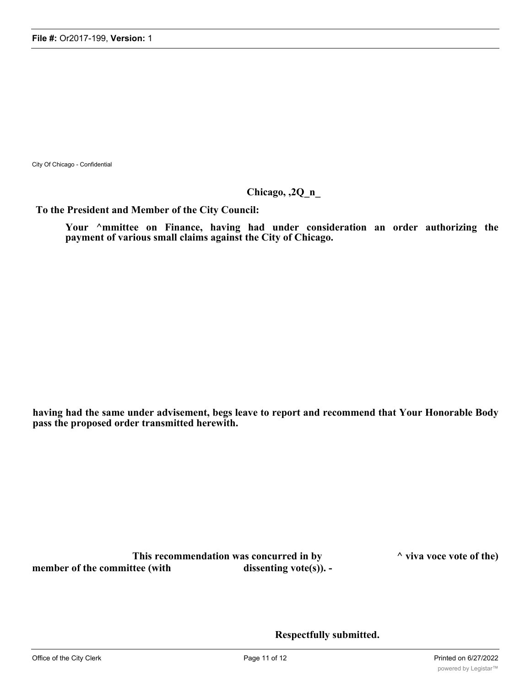City Of Chicago - Confidential

## **Chicago, ,2Q\_n\_**

**To the President and Member of the City Council:**

**Your ^mmittee on Finance, having had under consideration an order authorizing the payment of various small claims against the City of Chicago.**

**having had the same under advisement, begs leave to report and recommend that Your Honorable Body pass the proposed order transmitted herewith.**

**This recommendation was concurred in by ^ viva voce vote of the) member of the committee (with dissenting vote(s)).** -

**Respectfully submitted.**